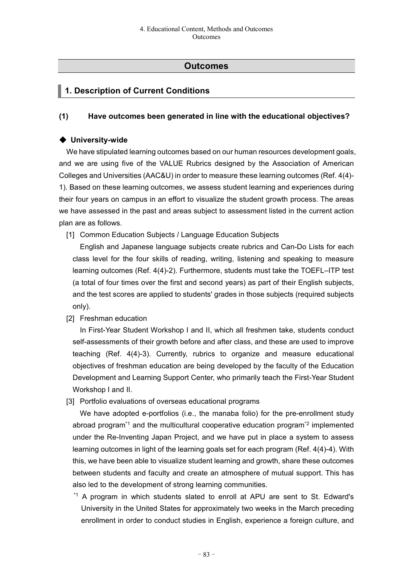# **Outcomes**

# **1. Description of Current Conditions**

### **(1) Have outcomes been generated in line with the educational objectives?**

### ◆ **University-wide**

We have stipulated learning outcomes based on our human resources development goals, and we are using five of the VALUE Rubrics designed by the Association of American Colleges and Universities (AAC&U) in order to measure these learning outcomes (Ref. 4(4)- 1). Based on these learning outcomes, we assess student learning and experiences during their four years on campus in an effort to visualize the student growth process. The areas we have assessed in the past and areas subject to assessment listed in the current action plan are as follows.

[1] Common Education Subjects / Language Education Subjects

English and Japanese language subjects create rubrics and Can-Do Lists for each class level for the four skills of reading, writing, listening and speaking to measure learning outcomes (Ref. 4(4)-2). Furthermore, students must take the TOEFL–ITP test (a total of four times over the first and second years) as part of their English subjects, and the test scores are applied to students' grades in those subjects (required subjects only).

[2] Freshman education

In First-Year Student Workshop I and II, which all freshmen take, students conduct self-assessments of their growth before and after class, and these are used to improve teaching (Ref. 4(4)-3). Currently, rubrics to organize and measure educational objectives of freshman education are being developed by the faculty of the Education Development and Learning Support Center, who primarily teach the First-Year Student Workshop I and II.

[3] Portfolio evaluations of overseas educational programs

We have adopted e-portfolios (i.e., the manaba folio) for the pre-enrollment study abroad program<sup>\*1</sup> and the multicultural cooperative education program<sup>\*2</sup> implemented under the Re-Inventing Japan Project, and we have put in place a system to assess learning outcomes in light of the learning goals set for each program (Ref. 4(4)-4). With this, we have been able to visualize student learning and growth, share these outcomes between students and faculty and create an atmosphere of mutual support. This has also led to the development of strong learning communities.

\*1 A program in which students slated to enroll at APU are sent to St. Edward's University in the United States for approximately two weeks in the March preceding enrollment in order to conduct studies in English, experience a foreign culture, and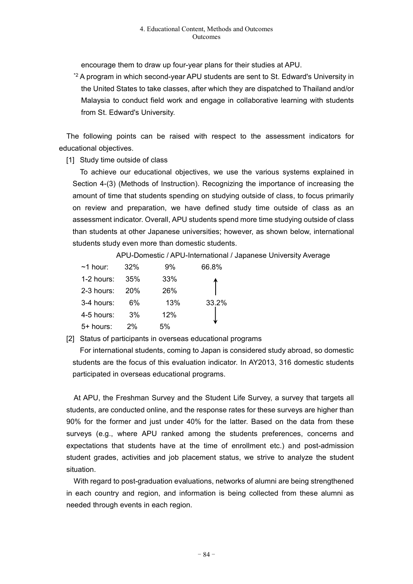encourage them to draw up four-year plans for their studies at APU.

\*2 A program in which second-year APU students are sent to St. Edward's University in the United States to take classes, after which they are dispatched to Thailand and/or Malaysia to conduct field work and engage in collaborative learning with students from St. Edward's University.

The following points can be raised with respect to the assessment indicators for educational objectives.

[1] Study time outside of class

To achieve our educational objectives, we use the various systems explained in Section 4-(3) (Methods of Instruction). Recognizing the importance of increasing the amount of time that students spending on studying outside of class, to focus primarily on review and preparation, we have defined study time outside of class as an assessment indicator. Overall, APU students spend more time studying outside of class than students at other Japanese universities; however, as shown below, international students study even more than domestic students.

APU-Domestic / APU-International / Japanese University Average

| $~1$ hour: | 32% | 9%  | 66.8% |
|------------|-----|-----|-------|
| 1-2 hours: | 35% | 33% |       |
| 2-3 hours: | 20% | 26% |       |
| 3-4 hours: | 6%  | 13% | 33.2% |
| 4-5 hours: | 3%  | 12% |       |
| 5+ hours:  | 2%  | 5%  |       |

[2] Status of participants in overseas educational programs

For international students, coming to Japan is considered study abroad, so domestic students are the focus of this evaluation indicator. In AY2013, 316 domestic students participated in overseas educational programs.

At APU, the Freshman Survey and the Student Life Survey, a survey that targets all students, are conducted online, and the response rates for these surveys are higher than 90% for the former and just under 40% for the latter. Based on the data from these surveys (e.g., where APU ranked among the students preferences, concerns and expectations that students have at the time of enrollment etc.) and post-admission student grades, activities and job placement status, we strive to analyze the student situation.

With regard to post-graduation evaluations, networks of alumni are being strengthened in each country and region, and information is being collected from these alumni as needed through events in each region.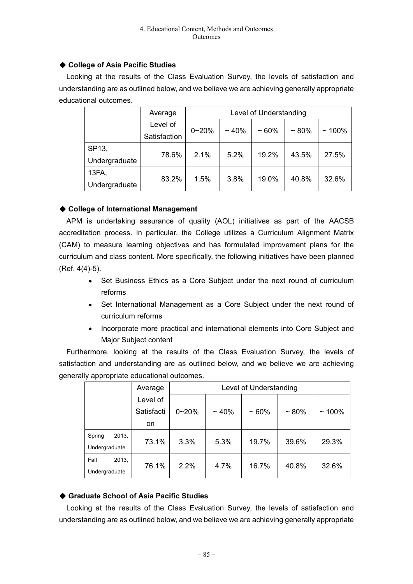## ◆ **College of Asia Pacific Studies**

Looking at the results of the Class Evaluation Survey, the levels of satisfaction and understanding are as outlined below, and we believe we are achieving generally appropriate educational outcomes.

|               | Average      | Level of Understanding |         |         |           |          |  |
|---------------|--------------|------------------------|---------|---------|-----------|----------|--|
|               | Level of     | $0 - 20%$              | $~10\%$ | $~10\%$ | $~1.80\%$ |          |  |
|               | Satisfaction |                        |         |         |           | $~100\%$ |  |
| SP13,         | 78.6%        | 2.1%                   | 5.2%    | 19.2%   | 43.5%     | 27.5%    |  |
| Undergraduate |              |                        |         |         |           |          |  |
| 13FA,         | 83.2%        | 1.5%                   | 3.8%    | 19.0%   | 40.8%     | 32.6%    |  |
| Undergraduate |              |                        |         |         |           |          |  |

## ◆ **College of International Management**

APM is undertaking assurance of quality (AOL) initiatives as part of the AACSB accreditation process. In particular, the College utilizes a Curriculum Alignment Matrix (CAM) to measure learning objectives and has formulated improvement plans for the curriculum and class content. More specifically, the following initiatives have been planned (Ref. 4(4)-5).

- Set Business Ethics as a Core Subject under the next round of curriculum reforms
- Set International Management as a Core Subject under the next round of curriculum reforms
- Incorporate more practical and international elements into Core Subject and Major Subject content

Furthermore, looking at the results of the Class Evaluation Survey, the levels of satisfaction and understanding are as outlined below, and we believe we are achieving generally appropriate educational outcomes.

|                 | Average    | Level of Understanding |         |         |           |          |
|-----------------|------------|------------------------|---------|---------|-----------|----------|
|                 | Level of   |                        |         |         |           |          |
|                 | Satisfacti | $0 - 20%$              | $~10\%$ | $~10\%$ | $~1.80\%$ | $~100\%$ |
|                 | on         |                        |         |         |           |          |
| 2013,<br>Spring | 73.1%      | 3.3%                   | 5.3%    | 19.7%   | 39.6%     | 29.3%    |
| Undergraduate   |            |                        |         |         |           |          |
| Fall<br>2013,   | 76.1%      | 2.2%                   | 4.7%    | 16.7%   | 40.8%     | 32.6%    |
| Undergraduate   |            |                        |         |         |           |          |

# ◆ **Graduate School of Asia Pacific Studies**

Looking at the results of the Class Evaluation Survey, the levels of satisfaction and understanding are as outlined below, and we believe we are achieving generally appropriate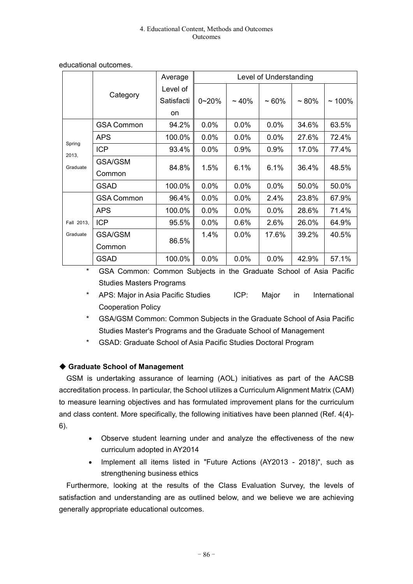|                 |                   | Average    |           |            | Level of Understanding |          |          |
|-----------------|-------------------|------------|-----------|------------|------------------------|----------|----------|
|                 |                   | Level of   |           |            |                        |          |          |
|                 | Category          | Satisfacti | $0 - 20%$ | $\sim$ 40% | $~1$ 60%               | $~1$ 80% | $~100\%$ |
|                 |                   | on         |           |            |                        |          |          |
|                 | <b>GSA Common</b> | 94.2%      | 0.0%      | 0.0%       | 0.0%                   | 34.6%    | 63.5%    |
|                 | <b>APS</b>        | 100.0%     | 0.0%      | 0.0%       | 0.0%                   | 27.6%    | 72.4%    |
| Spring<br>2013, | <b>ICP</b>        | 93.4%      | 0.0%      | 0.9%       | 0.9%                   | 17.0%    | 77.4%    |
| Graduate        | <b>GSA/GSM</b>    | 84.8%      | 1.5%      | 6.1%       | 6.1%                   | 36.4%    | 48.5%    |
|                 | Common            |            |           |            |                        |          |          |
|                 | <b>GSAD</b>       | 100.0%     | 0.0%      | 0.0%       | 0.0%                   | 50.0%    | 50.0%    |
|                 | <b>GSA Common</b> | 96.4%      | 0.0%      | 0.0%       | 2.4%                   | 23.8%    | 67.9%    |
|                 | <b>APS</b>        | 100.0%     | 0.0%      | 0.0%       | 0.0%                   | 28.6%    | 71.4%    |
| Fall 2013,      | <b>ICP</b>        | 95.5%      | 0.0%      | 0.6%       | 2.6%                   | 26.0%    | 64.9%    |
| Graduate        | GSA/GSM           | 86.5%      | 1.4%      | 0.0%       | 17.6%                  | 39.2%    | 40.5%    |
|                 | Common            |            |           |            |                        |          |          |
|                 | <b>GSAD</b>       | 100.0%     | 0.0%      | 0.0%       | 0.0%                   | 42.9%    | 57.1%    |

educational outcomes.

\* GSA Common: Common Subjects in the Graduate School of Asia Pacific Studies Masters Programs

- \* APS: Major in Asia Pacific Studies ICP: Major in International Cooperation Policy
- GSA/GSM Common: Common Subjects in the Graduate School of Asia Pacific Studies Master's Programs and the Graduate School of Management
- GSAD: Graduate School of Asia Pacific Studies Doctoral Program

# ◆ **Graduate School of Management**

GSM is undertaking assurance of learning (AOL) initiatives as part of the AACSB accreditation process. In particular, the School utilizes a Curriculum Alignment Matrix (CAM) to measure learning objectives and has formulated improvement plans for the curriculum and class content. More specifically, the following initiatives have been planned (Ref. 4(4)- 6).

- Observe student learning under and analyze the effectiveness of the new curriculum adopted in AY2014
- Implement all items listed in "Future Actions (AY2013 2018)", such as strengthening business ethics

Furthermore, looking at the results of the Class Evaluation Survey, the levels of satisfaction and understanding are as outlined below, and we believe we are achieving generally appropriate educational outcomes.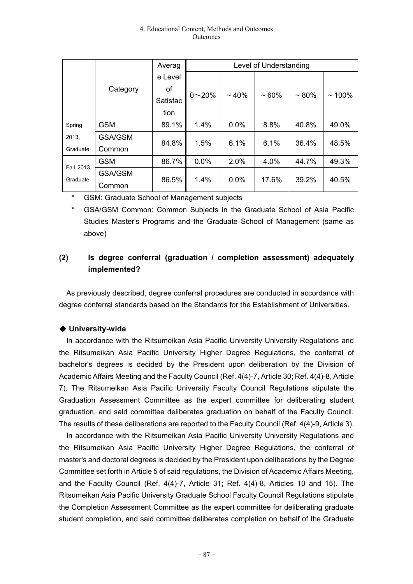|            |                |          |                |         | Level of Understanding |           |          |
|------------|----------------|----------|----------------|---------|------------------------|-----------|----------|
|            |                | e Level  |                |         |                        |           |          |
|            | Category       | οf       | $0^{\sim}20\%$ | $~10\%$ | $~10\%$                | $~1.80\%$ |          |
|            |                | Satisfac |                |         |                        |           | $~100\%$ |
|            |                | tion     |                |         |                        |           |          |
| Spring     | <b>GSM</b>     | 89.1%    | 1.4%           | 0.0%    | 8.8%                   | 40.8%     | 49.0%    |
| 2013,      | <b>GSA/GSM</b> | 84.8%    | 1.5%           | 6.1%    | 6.1%                   | 36.4%     | 48.5%    |
| Graduate   | Common         |          |                |         |                        |           |          |
| Fall 2013, | <b>GSM</b>     | 86.7%    | 0.0%           | 2.0%    | 4.0%                   | 44.7%     | 49.3%    |
| Graduate   | <b>GSA/GSM</b> | 86.5%    | 1.4%           | $0.0\%$ | 17.6%                  | 39.2%     | 40.5%    |
|            | Common         |          |                |         |                        |           |          |

GSM: Graduate School of Management subjects

\* GSA/GSM Common: Common Subjects in the Graduate School of Asia Pacific Studies Master's Programs and the Graduate School of Management (same as above)

# **(2) Is degree conferral (graduation / completion assessment) adequately implemented?**

As previously described, degree conferral procedures are conducted in accordance with degree conferral standards based on the Standards for the Establishment of Universities.

# ◆ **University-wide**

In accordance with the Ritsumeikan Asia Pacific University University Regulations and the Ritsumeikan Asia Pacific University Higher Degree Regulations, the conferral of bachelor's degrees is decided by the President upon deliberation by the Division of Academic Affairs Meeting and the Faculty Council (Ref. 4(4)-7, Article 30; Ref. 4(4)-8, Article 7). The Ritsumeikan Asia Pacific University Faculty Council Regulations stipulate the Graduation Assessment Committee as the expert committee for deliberating student graduation, and said committee deliberates graduation on behalf of the Faculty Council. The results of these deliberations are reported to the Faculty Council (Ref. 4(4)-9, Article 3).

In accordance with the Ritsumeikan Asia Pacific University University Regulations and the Ritsumeikan Asia Pacific University Higher Degree Regulations, the conferral of master's and doctoral degrees is decided by the President upon deliberations by the Degree Committee set forth in Article 5 of said regulations, the Division of Academic Affairs Meeting, and the Faculty Council (Ref. 4(4)-7, Article 31; Ref. 4(4)-8, Articles 10 and 15). The Ritsumeikan Asia Pacific University Graduate School Faculty Council Regulations stipulate the Completion Assessment Committee as the expert committee for deliberating graduate student completion, and said committee deliberates completion on behalf of the Graduate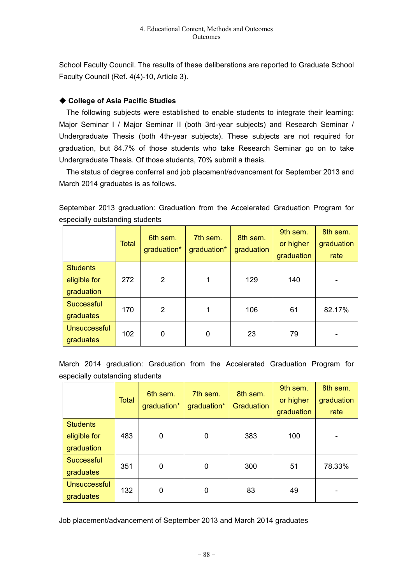School Faculty Council. The results of these deliberations are reported to Graduate School Faculty Council (Ref. 4(4)-10, Article 3).

## ◆ **College of Asia Pacific Studies**

The following subjects were established to enable students to integrate their learning: Major Seminar I / Major Seminar II (both 3rd-year subjects) and Research Seminar / Undergraduate Thesis (both 4th-year subjects). These subjects are not required for graduation, but 84.7% of those students who take Research Seminar go on to take Undergraduate Thesis. Of those students, 70% submit a thesis.

The status of degree conferral and job placement/advancement for September 2013 and March 2014 graduates is as follows.

September 2013 graduation: Graduation from the Accelerated Graduation Program for especially outstanding students

|                                               | <b>Total</b> | 6th sem.<br>graduation* | 7th sem.<br>graduation* | 8th sem.<br>graduation | 9th sem.<br>or higher<br>graduation | 8th sem.<br>graduation<br>rate |
|-----------------------------------------------|--------------|-------------------------|-------------------------|------------------------|-------------------------------------|--------------------------------|
| <b>Students</b><br>eligible for<br>graduation | 272          | $\overline{2}$          | 1                       | 129                    | 140                                 |                                |
| <b>Successful</b><br>graduates                | 170          | $\overline{2}$          | 1                       | 106                    | 61                                  | 82.17%                         |
| <b>Unsuccessful</b><br>graduates              | 102          | 0                       | 0                       | 23                     | 79                                  |                                |

March 2014 graduation: Graduation from the Accelerated Graduation Program for especially outstanding students

|                                               | <b>Total</b> | 6th sem.<br>graduation* | 7th sem.<br>graduation* | 8th sem.<br>Graduation | 9th sem.<br>or higher<br>graduation | 8th sem.<br>graduation<br>rate |
|-----------------------------------------------|--------------|-------------------------|-------------------------|------------------------|-------------------------------------|--------------------------------|
| <b>Students</b><br>eligible for<br>graduation | 483          | 0                       | 0                       | 383                    | 100                                 |                                |
| Successful<br>graduates                       | 351          | 0                       | 0                       | 300                    | 51                                  | 78.33%                         |
| <b>Unsuccessful</b><br>graduates              | 132          | 0                       | 0                       | 83                     | 49                                  |                                |

Job placement/advancement of September 2013 and March 2014 graduates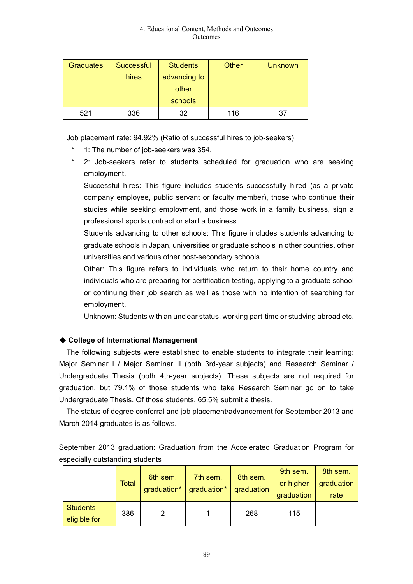| <b>Graduates</b> | Successful | <b>Students</b> | Other | <b>Unknown</b> |
|------------------|------------|-----------------|-------|----------------|
|                  | hires      | advancing to    |       |                |
|                  |            | other           |       |                |
|                  |            | schools         |       |                |
| 521              | 336        | 32              | 116   |                |

## Job placement rate: 94.92% (Ratio of successful hires to job-seekers)

- 1: The number of job-seekers was 354.
- 2: Job-seekers refer to students scheduled for graduation who are seeking employment.

Successful hires: This figure includes students successfully hired (as a private company employee, public servant or faculty member), those who continue their studies while seeking employment, and those work in a family business, sign a professional sports contract or start a business.

Students advancing to other schools: This figure includes students advancing to graduate schools in Japan, universities or graduate schools in other countries, other universities and various other post-secondary schools.

Other: This figure refers to individuals who return to their home country and individuals who are preparing for certification testing, applying to a graduate school or continuing their job search as well as those with no intention of searching for employment.

Unknown: Students with an unclear status, working part-time or studying abroad etc.

# ◆ **College of International Management**

The following subjects were established to enable students to integrate their learning: Major Seminar I / Major Seminar II (both 3rd-year subjects) and Research Seminar / Undergraduate Thesis (both 4th-year subjects). These subjects are not required for graduation, but 79.1% of those students who take Research Seminar go on to take Undergraduate Thesis. Of those students, 65.5% submit a thesis.

The status of degree conferral and job placement/advancement for September 2013 and March 2014 graduates is as follows.

September 2013 graduation: Graduation from the Accelerated Graduation Program for especially outstanding students

|                                 | <b>Total</b> | 6th sem.<br>graduation* | 7th sem.<br>graduation* | 8th sem.<br>graduation | 9th sem.<br>or higher<br>graduation | 8th sem.<br>graduation<br>rate |
|---------------------------------|--------------|-------------------------|-------------------------|------------------------|-------------------------------------|--------------------------------|
| <b>Students</b><br>eligible for | 386          | 2                       |                         | 268                    | 115                                 | -                              |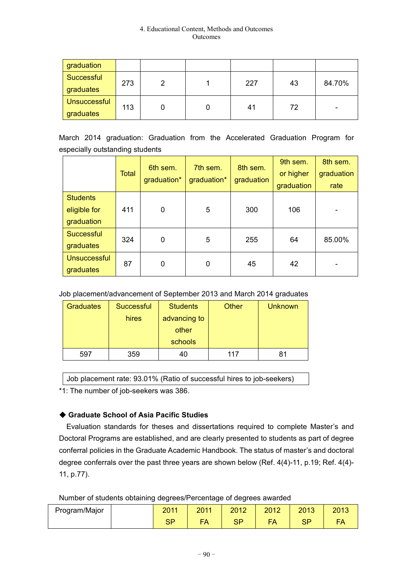| graduation                       |     |   |     |    |        |
|----------------------------------|-----|---|-----|----|--------|
| Successful<br>graduates          | 273 | າ | 227 | 43 | 84.70% |
| <b>Unsuccessful</b><br>graduates | 113 |   | 41  | 72 | -      |

March 2014 graduation: Graduation from the Accelerated Graduation Program for especially outstanding students

|                                               | <b>Total</b> | 6th sem.<br>graduation* | 7th sem.<br>graduation* | 8th sem.<br>graduation | 9th sem.<br>or higher<br>graduation | 8th sem.<br>graduation<br>rate |
|-----------------------------------------------|--------------|-------------------------|-------------------------|------------------------|-------------------------------------|--------------------------------|
| <b>Students</b><br>eligible for<br>graduation | 411          | 0                       | 5                       | 300                    | 106                                 |                                |
| <b>Successful</b><br>graduates                | 324          | 0                       | 5                       | 255                    | 64                                  | 85.00%                         |
| <b>Unsuccessful</b><br>graduates              | 87           | 0                       | 0                       | 45                     | 42                                  |                                |

## Job placement/advancement of September 2013 and March 2014 graduates

| <b>Graduates</b> | Successful | <b>Students</b> | Other | <b>Unknown</b> |
|------------------|------------|-----------------|-------|----------------|
|                  | hires      | advancing to    |       |                |
|                  |            | other           |       |                |
|                  |            | schools         |       |                |
| 597              | 359        | 40              | 117   | 81             |

Job placement rate: 93.01% (Ratio of successful hires to job-seekers)

\*1: The number of job-seekers was 386.

# ◆ **Graduate School of Asia Pacific Studies**

Evaluation standards for theses and dissertations required to complete Master's and Doctoral Programs are established, and are clearly presented to students as part of degree conferral policies in the Graduate Academic Handbook. The status of master's and doctoral degree conferrals over the past three years are shown below (Ref. 4(4)-11, p.19; Ref. 4(4)- 11, p.77).

Number of students obtaining degrees/Percentage of degrees awarded

| Program/Major | 0011<br>ZUII | 2011<br>ZU II | 2012               | 2012            | 2013     | 2013 |
|---------------|--------------|---------------|--------------------|-----------------|----------|------|
|               | ິບເ          | -<br>EΛ       | en<br>$\mathbf{v}$ | EΛ<br>$-\Delta$ | eп<br>υ٢ | FA   |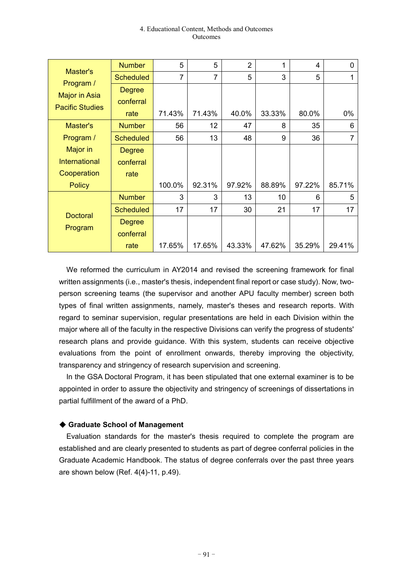| Master's<br>Program /<br><b>Major in Asia</b><br><b>Pacific Studies</b> | <b>Number</b>    | 5              | 5      | $\overline{2}$ | 1      | 4      | 0      |
|-------------------------------------------------------------------------|------------------|----------------|--------|----------------|--------|--------|--------|
|                                                                         | <b>Scheduled</b> | $\overline{7}$ | 7      | 5              | 3      | 5      |        |
|                                                                         | <b>Degree</b>    |                |        |                |        |        |        |
|                                                                         | conferral        |                |        |                |        |        |        |
|                                                                         | rate             | 71.43%         | 71.43% | 40.0%          | 33.33% | 80.0%  | 0%     |
| Master's                                                                | <b>Number</b>    | 56             | 12     | 47             | 8      | 35     | 6      |
| Program /                                                               | <b>Scheduled</b> | 56             | 13     | 48             | 9      | 36     | 7      |
| Major in                                                                | <b>Degree</b>    |                |        |                |        |        |        |
| <b>International</b>                                                    | conferral        |                |        |                |        |        |        |
| Cooperation                                                             | rate             |                |        |                |        |        |        |
| <b>Policy</b>                                                           |                  | 100.0%         | 92.31% | 97.92%         | 88.89% | 97.22% | 85.71% |
| <b>Doctoral</b><br>Program                                              | <b>Number</b>    | 3              | 3      | 13             | 10     | 6      | 5      |
|                                                                         | <b>Scheduled</b> | 17             | 17     | 30             | 21     | 17     | 17     |
|                                                                         | <b>Degree</b>    |                |        |                |        |        |        |
|                                                                         | conferral        |                |        |                |        |        |        |
|                                                                         | rate             | 17.65%         | 17.65% | 43.33%         | 47.62% | 35.29% | 29.41% |

We reformed the curriculum in AY2014 and revised the screening framework for final written assignments (i.e., master's thesis, independent final report or case study). Now, twoperson screening teams (the supervisor and another APU faculty member) screen both types of final written assignments, namely, master's theses and research reports. With regard to seminar supervision, regular presentations are held in each Division within the major where all of the faculty in the respective Divisions can verify the progress of students' research plans and provide guidance. With this system, students can receive objective evaluations from the point of enrollment onwards, thereby improving the objectivity, transparency and stringency of research supervision and screening.

In the GSA Doctoral Program, it has been stipulated that one external examiner is to be appointed in order to assure the objectivity and stringency of screenings of dissertations in partial fulfillment of the award of a PhD.

### ◆ **Graduate School of Management**

Evaluation standards for the master's thesis required to complete the program are established and are clearly presented to students as part of degree conferral policies in the Graduate Academic Handbook. The status of degree conferrals over the past three years are shown below (Ref. 4(4)-11, p.49).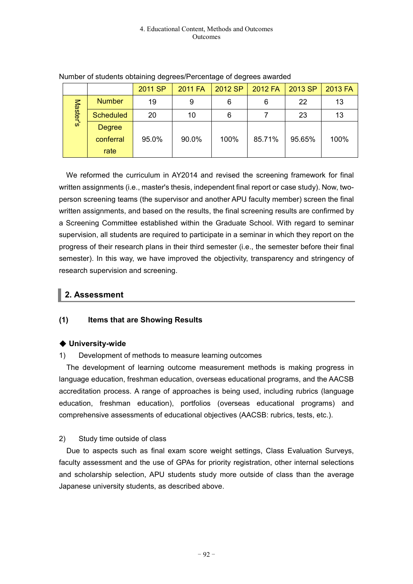|          |                  | 2011 SP | <b>2011 FA</b> | 2012 SP | 2012 FA | 2013 SP | 2013 FA |
|----------|------------------|---------|----------------|---------|---------|---------|---------|
| Master's | <b>Number</b>    | 19      | 9              | 6       | 6       | 22      | 13      |
|          | <b>Scheduled</b> | 20      | 10             | 6       |         | 23      | 13      |
|          | <b>Degree</b>    |         |                |         |         |         |         |
|          | conferral        | 95.0%   | 90.0%          | 100%    | 85.71%  | 95.65%  | 100%    |
|          | rate             |         |                |         |         |         |         |

### Number of students obtaining degrees/Percentage of degrees awarded

We reformed the curriculum in AY2014 and revised the screening framework for final written assignments (i.e., master's thesis, independent final report or case study). Now, twoperson screening teams (the supervisor and another APU faculty member) screen the final written assignments, and based on the results, the final screening results are confirmed by a Screening Committee established within the Graduate School. With regard to seminar supervision, all students are required to participate in a seminar in which they report on the progress of their research plans in their third semester (i.e., the semester before their final semester). In this way, we have improved the objectivity, transparency and stringency of research supervision and screening.

# **2. Assessment**

# **(1) Items that are Showing Results**

# ◆ **University-wide**

# 1) Development of methods to measure learning outcomes

The development of learning outcome measurement methods is making progress in language education, freshman education, overseas educational programs, and the AACSB accreditation process. A range of approaches is being used, including rubrics (language education, freshman education), portfolios (overseas educational programs) and comprehensive assessments of educational objectives (AACSB: rubrics, tests, etc.).

# 2) Study time outside of class

Due to aspects such as final exam score weight settings, Class Evaluation Surveys, faculty assessment and the use of GPAs for priority registration, other internal selections and scholarship selection, APU students study more outside of class than the average Japanese university students, as described above.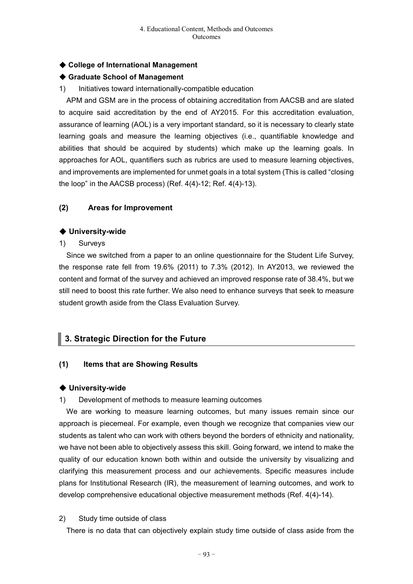## ◆ **College of International Management**

## ◆ **Graduate School of Management**

1) Initiatives toward internationally-compatible education

APM and GSM are in the process of obtaining accreditation from AACSB and are slated to acquire said accreditation by the end of AY2015. For this accreditation evaluation, assurance of learning (AOL) is a very important standard, so it is necessary to clearly state learning goals and measure the learning objectives (i.e., quantifiable knowledge and abilities that should be acquired by students) which make up the learning goals. In approaches for AOL, quantifiers such as rubrics are used to measure learning objectives, and improvements are implemented for unmet goals in a total system (This is called "closing the loop" in the AACSB process) (Ref. 4(4)-12; Ref. 4(4)-13).

### **(2) Areas for Improvement**

### ◆ **University-wide**

1) Surveys

Since we switched from a paper to an online questionnaire for the Student Life Survey, the response rate fell from 19.6% (2011) to 7.3% (2012). In AY2013, we reviewed the content and format of the survey and achieved an improved response rate of 38.4%, but we still need to boost this rate further. We also need to enhance surveys that seek to measure student growth aside from the Class Evaluation Survey.

# **3. Strategic Direction for the Future**

### **(1) Items that are Showing Results**

### ◆ **University-wide**

1) Development of methods to measure learning outcomes

We are working to measure learning outcomes, but many issues remain since our approach is piecemeal. For example, even though we recognize that companies view our students as talent who can work with others beyond the borders of ethnicity and nationality, we have not been able to objectively assess this skill. Going forward, we intend to make the quality of our education known both within and outside the university by visualizing and clarifying this measurement process and our achievements. Specific measures include plans for Institutional Research (IR), the measurement of learning outcomes, and work to develop comprehensive educational objective measurement methods (Ref. 4(4)-14).

### 2) Study time outside of class

There is no data that can objectively explain study time outside of class aside from the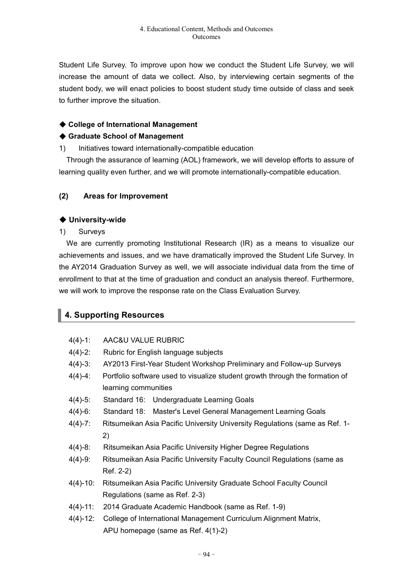Student Life Survey. To improve upon how we conduct the Student Life Survey, we will increase the amount of data we collect. Also, by interviewing certain segments of the student body, we will enact policies to boost student study time outside of class and seek to further improve the situation.

## ◆ **College of International Management**

### ◆ **Graduate School of Management**

1) Initiatives toward internationally-compatible education

Through the assurance of learning (AOL) framework, we will develop efforts to assure of learning quality even further, and we will promote internationally-compatible education.

## **(2) Areas for Improvement**

## ◆ **University-wide**

1) Surveys

We are currently promoting Institutional Research (IR) as a means to visualize our achievements and issues, and we have dramatically improved the Student Life Survey. In the AY2014 Graduation Survey as well, we will associate individual data from the time of enrollment to that at the time of graduation and conduct an analysis thereof. Furthermore, we will work to improve the response rate on the Class Evaluation Survey.

# **4. Supporting Resources**

- 4(4)-1: AAC&U VALUE RUBRIC
- 4(4)-2: Rubric for English language subjects
- 4(4)-3: AY2013 First-Year Student Workshop Preliminary and Follow-up Surveys
- 4(4)-4: Portfolio software used to visualize student growth through the formation of learning communities
- 4(4)-5: Standard 16: Undergraduate Learning Goals
- 4(4)-6: Standard 18: Master's Level General Management Learning Goals
- 4(4)-7: Ritsumeikan Asia Pacific University University Regulations (same as Ref. 1- 2)
- 4(4)-8: Ritsumeikan Asia Pacific University Higher Degree Regulations
- 4(4)-9: Ritsumeikan Asia Pacific University Faculty Council Regulations (same as Ref. 2-2)
- 4(4)-10: Ritsumeikan Asia Pacific University Graduate School Faculty Council Regulations (same as Ref. 2-3)
- 4(4)-11: 2014 Graduate Academic Handbook (same as Ref. 1-9)
- 4(4)-12: College of International Management Curriculum Alignment Matrix, APU homepage (same as Ref. 4(1)-2)